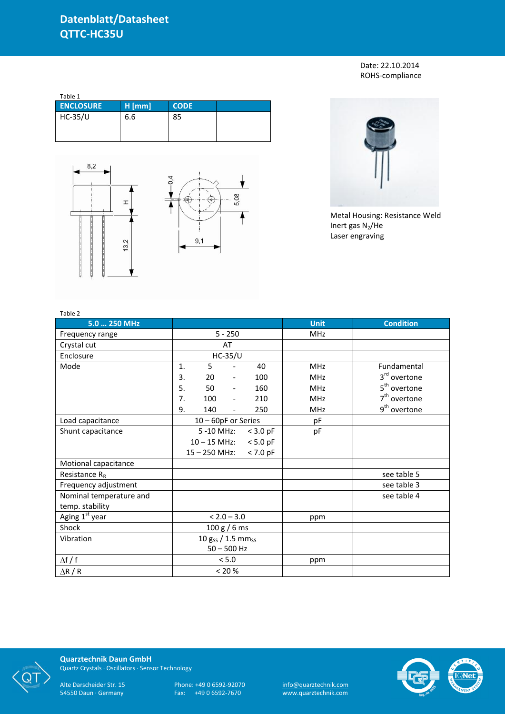## **Datenblatt/Datasheet QTTC-HC35U**

Date: 22.10.2014 ROHS-compliance

| Table 1          |          |             |  |
|------------------|----------|-------------|--|
| <b>ENCLOSURE</b> | $H$ [mm] | <b>CODE</b> |  |
| $HC-35/U$        | 6.6      | 85          |  |





Metal Housing: Resistance Weld Inert gas  $N_2$ /He Laser engraving

| Table 2                   |                              |                       |                          |            |             |                          |
|---------------------------|------------------------------|-----------------------|--------------------------|------------|-------------|--------------------------|
| 5.0  250 MHz              |                              |                       |                          |            | <b>Unit</b> | <b>Condition</b>         |
| Frequency range           | $5 - 250$                    |                       |                          |            | <b>MHz</b>  |                          |
| Crystal cut               |                              |                       | AT                       |            |             |                          |
| Enclosure                 |                              |                       | <b>HC-35/U</b>           |            |             |                          |
| Mode                      | $\mathbf{1}$ .               | 5                     |                          | 40         | <b>MHz</b>  | Fundamental              |
|                           | 3.                           | 20                    | $\overline{\phantom{a}}$ | 100        | <b>MHz</b>  | 3 <sup>rd</sup> overtone |
|                           | 5.                           | 50                    | $\overline{\phantom{a}}$ | 160        | <b>MHz</b>  | 5 <sup>th</sup> overtone |
|                           | 7.                           | 100                   | $\overline{\phantom{a}}$ | 210        | <b>MHz</b>  | $7th$ overtone           |
|                           | 9.                           | 140                   |                          | 250        | <b>MHz</b>  | 9 <sup>th</sup> overtone |
| Load capacitance          |                              | $10 - 60pF$ or Series |                          |            | pF          |                          |
| Shunt capacitance         |                              | 5 -10 MHz:            |                          | $<$ 3.0 pF | pF          |                          |
|                           | $10 - 15$ MHz:<br>$< 5.0$ pF |                       |                          |            |             |                          |
|                           |                              | $15 - 250$ MHz:       |                          | $< 7.0$ pF |             |                          |
| Motional capacitance      |                              |                       |                          |            |             |                          |
| Resistance R <sub>R</sub> |                              |                       |                          |            |             | see table 5              |
| Frequency adjustment      |                              |                       |                          |            |             | see table 3              |
| Nominal temperature and   |                              |                       |                          |            |             | see table 4              |
| temp. stability           |                              |                       |                          |            |             |                          |
| Aging 1st year            | $< 2.0 - 3.0$                |                       |                          |            | ppm         |                          |
| Shock                     | 100 g / 6 ms                 |                       |                          |            |             |                          |
| Vibration                 | 10 gss / 1.5 mmss            |                       |                          |            |             |                          |
|                           | $50 - 500$ Hz                |                       |                          |            |             |                          |
| $\Delta f / f$            |                              |                       | $< 5.0$                  |            | ppm         |                          |
| $\Delta$ R / R            | $< 20 \%$                    |                       |                          |            |             |                          |



**Quarztechnik Daun GmbH** Quartz Crystals · Oscillators · Sensor Technology

Alte Darscheider Str. 15 Phone: +49 0 6592-92070 <u>info@quarztechnik.com</u> 54550 Daun · Germany Fax: +49 0 6592-7670 www.quarztechnik.com